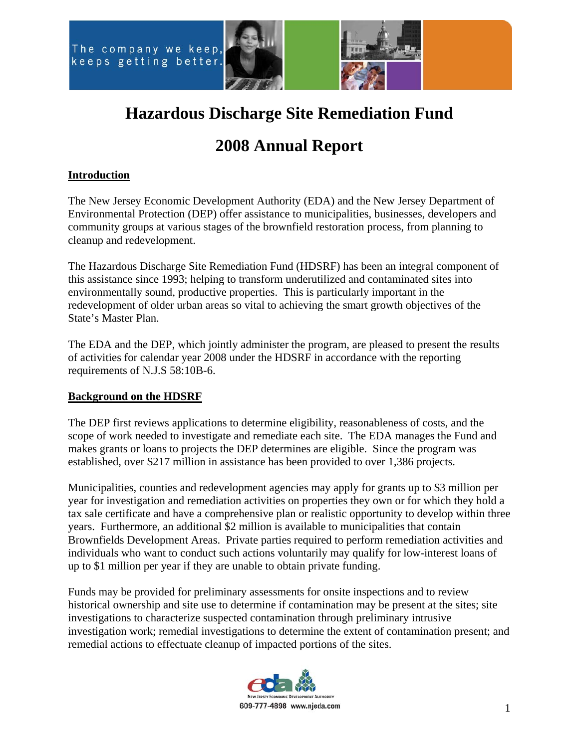



# **Hazardous Discharge Site Remediation Fund**

# **2008 Annual Report**

## **Introduction**

The New Jersey Economic Development Authority (EDA) and the New Jersey Department of Environmental Protection (DEP) offer assistance to municipalities, businesses, developers and community groups at various stages of the brownfield restoration process, from planning to cleanup and redevelopment.

The Hazardous Discharge Site Remediation Fund (HDSRF) has been an integral component of this assistance since 1993; helping to transform underutilized and contaminated sites into environmentally sound, productive properties. This is particularly important in the redevelopment of older urban areas so vital to achieving the smart growth objectives of the State's Master Plan.

The EDA and the DEP, which jointly administer the program, are pleased to present the results of activities for calendar year 2008 under the HDSRF in accordance with the reporting requirements of N.J.S 58:10B-6.

#### **Background on the HDSRF**

The DEP first reviews applications to determine eligibility, reasonableness of costs, and the scope of work needed to investigate and remediate each site. The EDA manages the Fund and makes grants or loans to projects the DEP determines are eligible. Since the program was established, over \$217 million in assistance has been provided to over 1,386 projects.

Municipalities, counties and redevelopment agencies may apply for grants up to \$3 million per year for investigation and remediation activities on properties they own or for which they hold a tax sale certificate and have a comprehensive plan or realistic opportunity to develop within three years. Furthermore, an additional \$2 million is available to municipalities that contain Brownfields Development Areas. Private parties required to perform remediation activities and individuals who want to conduct such actions voluntarily may qualify for low-interest loans of up to \$1 million per year if they are unable to obtain private funding.

Funds may be provided for preliminary assessments for onsite inspections and to review historical ownership and site use to determine if contamination may be present at the sites; site investigations to characterize suspected contamination through preliminary intrusive investigation work; remedial investigations to determine the extent of contamination present; and remedial actions to effectuate cleanup of impacted portions of the sites.

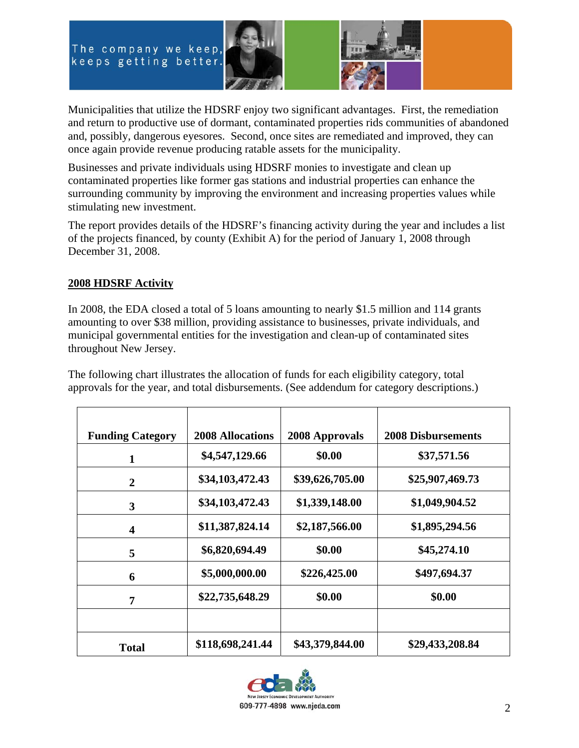



Municipalities that utilize the HDSRF enjoy two significant advantages. First, the remediation and return to productive use of dormant, contaminated properties rids communities of abandoned and, possibly, dangerous eyesores. Second, once sites are remediated and improved, they can once again provide revenue producing ratable assets for the municipality.

Businesses and private individuals using HDSRF monies to investigate and clean up contaminated properties like former gas stations and industrial properties can enhance the surrounding community by improving the environment and increasing properties values while stimulating new investment.

The report provides details of the HDSRF's financing activity during the year and includes a list of the projects financed, by county (Exhibit A) for the period of January 1, 2008 through December 31, 2008.

## **2008 HDSRF Activity**

In 2008, the EDA closed a total of 5 loans amounting to nearly \$1.5 million and 114 grants amounting to over \$38 million, providing assistance to businesses, private individuals, and municipal governmental entities for the investigation and clean-up of contaminated sites throughout New Jersey.

The following chart illustrates the allocation of funds for each eligibility category, total approvals for the year, and total disbursements. (See addendum for category descriptions.)

| <b>Funding Category</b> | <b>2008 Allocations</b> | 2008 Approvals  | <b>2008 Disbursements</b> |
|-------------------------|-------------------------|-----------------|---------------------------|
| 1                       | \$4,547,129.66          | \$0.00          | \$37,571.56               |
| $\overline{2}$          | \$34,103,472.43         | \$39,626,705.00 | \$25,907,469.73           |
| 3                       | \$34,103,472.43         | \$1,339,148.00  | \$1,049,904.52            |
| 4                       | \$11,387,824.14         | \$2,187,566.00  | \$1,895,294.56            |
| 5                       | \$6,820,694.49          | \$0.00          | \$45,274.10               |
| 6                       | \$5,000,000.00          | \$226,425.00    | \$497,694.37              |
| 7                       | \$22,735,648.29         | \$0.00          | \$0.00                    |
|                         |                         |                 |                           |
| <b>Total</b>            | \$118,698,241.44        | \$43,379,844.00 | \$29,433,208.84           |

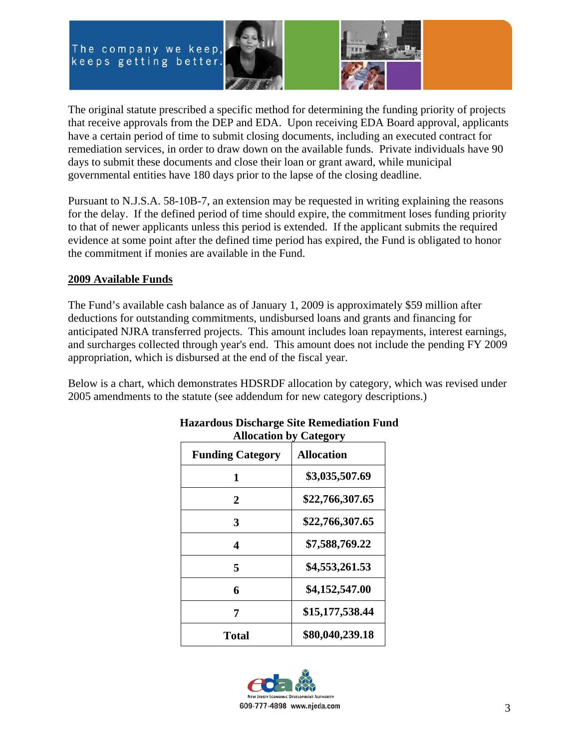



The original statute prescribed a specific method for determining the funding priority of projects that receive approvals from the DEP and EDA. Upon receiving EDA Board approval, applicants have a certain period of time to submit closing documents, including an executed contract for remediation services, in order to draw down on the available funds. Private individuals have 90 days to submit these documents and close their loan or grant award, while municipal governmental entities have 180 days prior to the lapse of the closing deadline.

Pursuant to N.J.S.A. 58-10B-7, an extension may be requested in writing explaining the reasons for the delay. If the defined period of time should expire, the commitment loses funding priority to that of newer applicants unless this period is extended. If the applicant submits the required evidence at some point after the defined time period has expired, the Fund is obligated to honor the commitment if monies are available in the Fund.

#### **2009 Available Funds**

The Fund's available cash balance as of January 1, 2009 is approximately \$59 million after deductions for outstanding commitments, undisbursed loans and grants and financing for anticipated NJRA transferred projects. This amount includes loan repayments, interest earnings, and surcharges collected through year's end. This amount does not include the pending FY 2009 appropriation, which is disbursed at the end of the fiscal year.

Below is a chart, which demonstrates HDSRDF allocation by category, which was revised under 2005 amendments to the statute (see addendum for new category descriptions.)

| Aliocation by Category  |                   |  |  |  |  |  |  |  |
|-------------------------|-------------------|--|--|--|--|--|--|--|
| <b>Funding Category</b> | <b>Allocation</b> |  |  |  |  |  |  |  |
| 1                       | \$3,035,507.69    |  |  |  |  |  |  |  |
| 2                       | \$22,766,307.65   |  |  |  |  |  |  |  |
| 3                       | \$22,766,307.65   |  |  |  |  |  |  |  |
| 4                       | \$7,588,769.22    |  |  |  |  |  |  |  |
| 5                       | \$4,553,261.53    |  |  |  |  |  |  |  |
| 6                       | \$4,152,547.00    |  |  |  |  |  |  |  |
| 7                       | \$15,177,538.44   |  |  |  |  |  |  |  |
| <b>Total</b>            | \$80,040,239.18   |  |  |  |  |  |  |  |

#### **Hazardous Discharge Site Remediation Fund Allocation by Category**

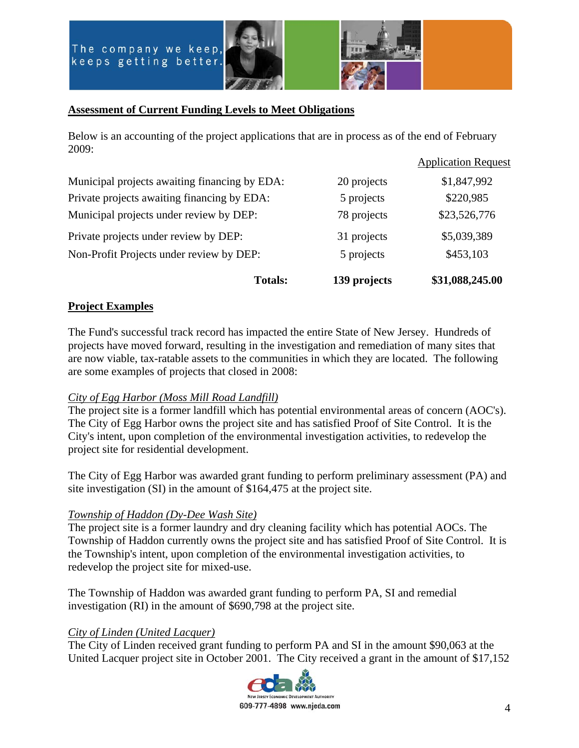



## **Assessment of Current Funding Levels to Meet Obligations**

Below is an accounting of the project applications that are in process as of the end of February 2009:

| <b>Totals:</b>                                | 139 projects | \$31,088,245.00            |
|-----------------------------------------------|--------------|----------------------------|
| Non-Profit Projects under review by DEP:      | 5 projects   | \$453,103                  |
| Private projects under review by DEP:         | 31 projects  | \$5,039,389                |
| Municipal projects under review by DEP:       | 78 projects  | \$23,526,776               |
| Private projects awaiting financing by EDA:   | 5 projects   | \$220,985                  |
| Municipal projects awaiting financing by EDA: | 20 projects  | \$1,847,992                |
|                                               |              | <b>Application Request</b> |

## **Project Examples**

The Fund's successful track record has impacted the entire State of New Jersey. Hundreds of projects have moved forward, resulting in the investigation and remediation of many sites that are now viable, tax-ratable assets to the communities in which they are located. The following are some examples of projects that closed in 2008:

## *City of Egg Harbor (Moss Mill Road Landfill)*

The project site is a former landfill which has potential environmental areas of concern (AOC's). The City of Egg Harbor owns the project site and has satisfied Proof of Site Control. It is the City's intent, upon completion of the environmental investigation activities, to redevelop the project site for residential development.

The City of Egg Harbor was awarded grant funding to perform preliminary assessment (PA) and site investigation (SI) in the amount of \$164,475 at the project site.

## *Township of Haddon (Dy-Dee Wash Site)*

The project site is a former laundry and dry cleaning facility which has potential AOCs. The Township of Haddon currently owns the project site and has satisfied Proof of Site Control. It is the Township's intent, upon completion of the environmental investigation activities, to redevelop the project site for mixed-use.

The Township of Haddon was awarded grant funding to perform PA, SI and remedial investigation (RI) in the amount of \$690,798 at the project site.

## *City of Linden (United Lacquer)*

The City of Linden received grant funding to perform PA and SI in the amount \$90,063 at the United Lacquer project site in October 2001. The City received a grant in the amount of \$17,152

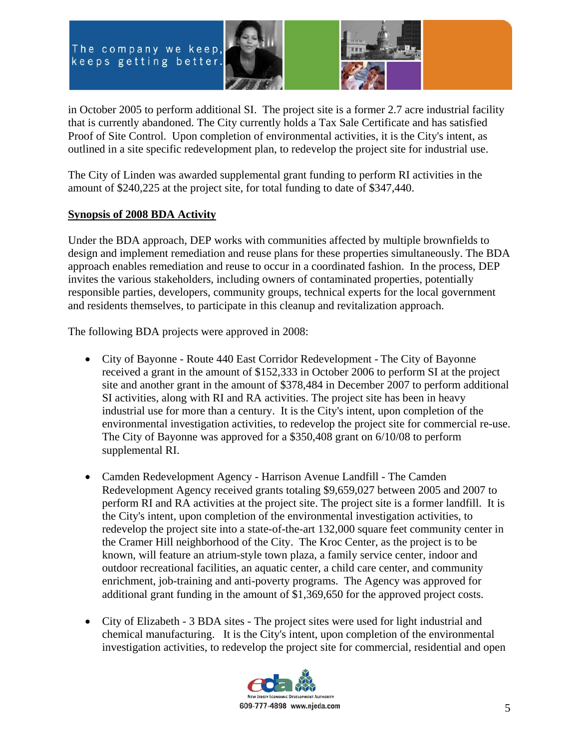

in October 2005 to perform additional SI. The project site is a former 2.7 acre industrial facility that is currently abandoned. The City currently holds a Tax Sale Certificate and has satisfied Proof of Site Control. Upon completion of environmental activities, it is the City's intent, as outlined in a site specific redevelopment plan, to redevelop the project site for industrial use.

The City of Linden was awarded supplemental grant funding to perform RI activities in the amount of \$240,225 at the project site, for total funding to date of \$347,440.

#### **Synopsis of 2008 BDA Activity**

Under the BDA approach, DEP works with communities affected by multiple brownfields to design and implement remediation and reuse plans for these properties simultaneously. The BDA approach enables remediation and reuse to occur in a coordinated fashion. In the process, DEP invites the various stakeholders, including owners of contaminated properties, potentially responsible parties, developers, community groups, technical experts for the local government and residents themselves, to participate in this cleanup and revitalization approach.

The following BDA projects were approved in 2008:

- City of Bayonne Route 440 East Corridor Redevelopment The City of Bayonne received a grant in the amount of \$152,333 in October 2006 to perform SI at the project site and another grant in the amount of \$378,484 in December 2007 to perform additional SI activities, along with RI and RA activities. The project site has been in heavy industrial use for more than a century. It is the City's intent, upon completion of the environmental investigation activities, to redevelop the project site for commercial re-use. The City of Bayonne was approved for a \$350,408 grant on 6/10/08 to perform supplemental RI.
- Camden Redevelopment Agency Harrison Avenue Landfill The Camden Redevelopment Agency received grants totaling \$9,659,027 between 2005 and 2007 to perform RI and RA activities at the project site. The project site is a former landfill. It is the City's intent, upon completion of the environmental investigation activities, to redevelop the project site into a state-of-the-art 132,000 square feet community center in the Cramer Hill neighborhood of the City. The Kroc Center, as the project is to be known, will feature an atrium-style town plaza, a family service center, indoor and outdoor recreational facilities, an aquatic center, a child care center, and community enrichment, job-training and anti-poverty programs. The Agency was approved for additional grant funding in the amount of \$1,369,650 for the approved project costs.
- City of Elizabeth 3 BDA sites The project sites were used for light industrial and chemical manufacturing. It is the City's intent, upon completion of the environmental investigation activities, to redevelop the project site for commercial, residential and open

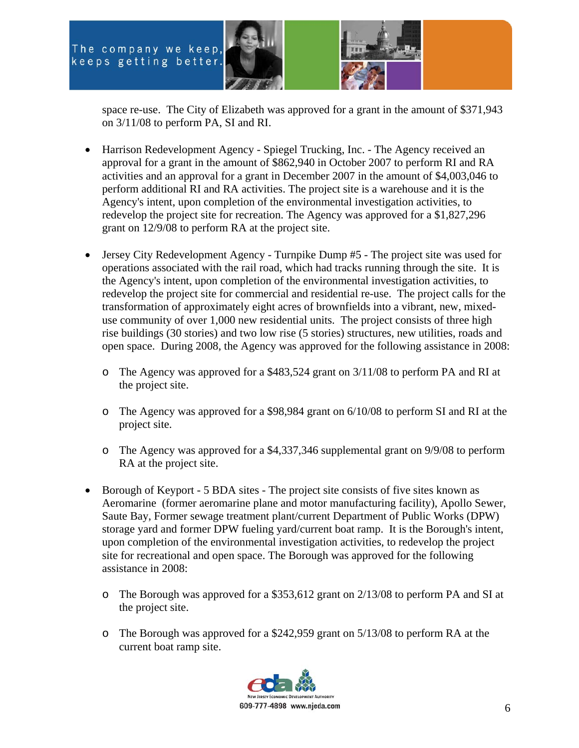



space re-use. The City of Elizabeth was approved for a grant in the amount of \$371,943 on 3/11/08 to perform PA, SI and RI.

- Harrison Redevelopment Agency Spiegel Trucking, Inc. The Agency received an approval for a grant in the amount of \$862,940 in October 2007 to perform RI and RA activities and an approval for a grant in December 2007 in the amount of \$4,003,046 to perform additional RI and RA activities. The project site is a warehouse and it is the Agency's intent, upon completion of the environmental investigation activities, to redevelop the project site for recreation. The Agency was approved for a \$1,827,296 grant on 12/9/08 to perform RA at the project site.
- Jersey City Redevelopment Agency Turnpike Dump #5 The project site was used for operations associated with the rail road, which had tracks running through the site. It is the Agency's intent, upon completion of the environmental investigation activities, to redevelop the project site for commercial and residential re-use. The project calls for the transformation of approximately eight acres of brownfields into a vibrant, new, mixeduse community of over 1,000 new residential units. The project consists of three high rise buildings (30 stories) and two low rise (5 stories) structures, new utilities, roads and open space. During 2008, the Agency was approved for the following assistance in 2008:
	- o The Agency was approved for a \$483,524 grant on 3/11/08 to perform PA and RI at the project site.
	- o The Agency was approved for a \$98,984 grant on 6/10/08 to perform SI and RI at the project site.
	- o The Agency was approved for a \$4,337,346 supplemental grant on 9/9/08 to perform RA at the project site.
- Borough of Keyport 5 BDA sites The project site consists of five sites known as Aeromarine (former aeromarine plane and motor manufacturing facility), Apollo Sewer, Saute Bay, Former sewage treatment plant/current Department of Public Works (DPW) storage yard and former DPW fueling yard/current boat ramp. It is the Borough's intent, upon completion of the environmental investigation activities, to redevelop the project site for recreational and open space. The Borough was approved for the following assistance in 2008:
	- o The Borough was approved for a \$353,612 grant on 2/13/08 to perform PA and SI at the project site.
	- o The Borough was approved for a \$242,959 grant on 5/13/08 to perform RA at the current boat ramp site.

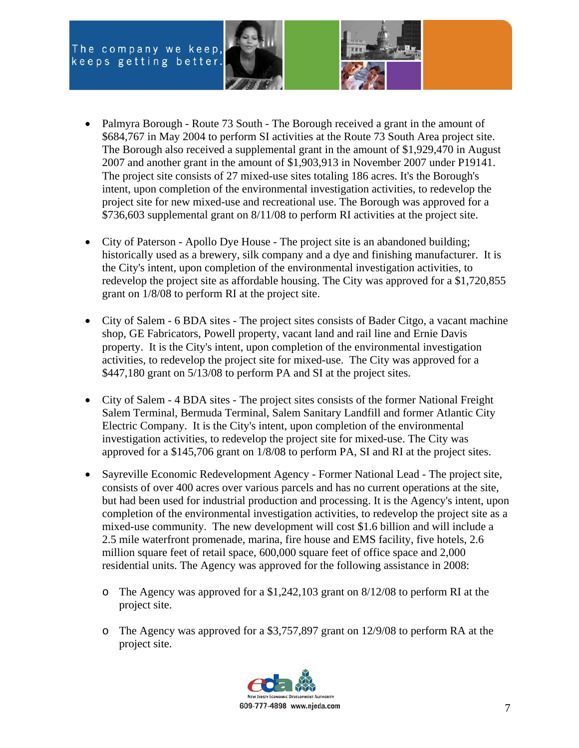



- Palmyra Borough Route 73 South The Borough received a grant in the amount of \$684,767 in May 2004 to perform SI activities at the Route 73 South Area project site. The Borough also received a supplemental grant in the amount of \$1,929,470 in August 2007 and another grant in the amount of \$1,903,913 in November 2007 under P19141. The project site consists of 27 mixed-use sites totaling 186 acres. It's the Borough's intent, upon completion of the environmental investigation activities, to redevelop the project site for new mixed-use and recreational use. The Borough was approved for a \$736,603 supplemental grant on 8/11/08 to perform RI activities at the project site.
- City of Paterson Apollo Dye House The project site is an abandoned building; historically used as a brewery, silk company and a dye and finishing manufacturer. It is the City's intent, upon completion of the environmental investigation activities, to redevelop the project site as affordable housing. The City was approved for a \$1,720,855 grant on 1/8/08 to perform RI at the project site.
- City of Salem 6 BDA sites The project sites consists of Bader Citgo, a vacant machine shop, GE Fabricators, Powell property, vacant land and rail line and Ernie Davis property. It is the City's intent, upon completion of the environmental investigation activities, to redevelop the project site for mixed-use. The City was approved for a \$447,180 grant on 5/13/08 to perform PA and SI at the project sites.
- City of Salem 4 BDA sites The project sites consists of the former National Freight Salem Terminal, Bermuda Terminal, Salem Sanitary Landfill and former Atlantic City Electric Company. It is the City's intent, upon completion of the environmental investigation activities, to redevelop the project site for mixed-use. The City was approved for a \$145,706 grant on 1/8/08 to perform PA, SI and RI at the project sites.
- Sayreville Economic Redevelopment Agency Former National Lead The project site, consists of over 400 acres over various parcels and has no current operations at the site, but had been used for industrial production and processing. It is the Agency's intent, upon completion of the environmental investigation activities, to redevelop the project site as a mixed-use community. The new development will cost \$1.6 billion and will include a 2.5 mile waterfront promenade, marina, fire house and EMS facility, five hotels, 2.6 million square feet of retail space, 600,000 square feet of office space and 2,000 residential units. The Agency was approved for the following assistance in 2008:
	- o The Agency was approved for a \$1,242,103 grant on 8/12/08 to perform RI at the project site.
	- o The Agency was approved for a \$3,757,897 grant on 12/9/08 to perform RA at the project site.

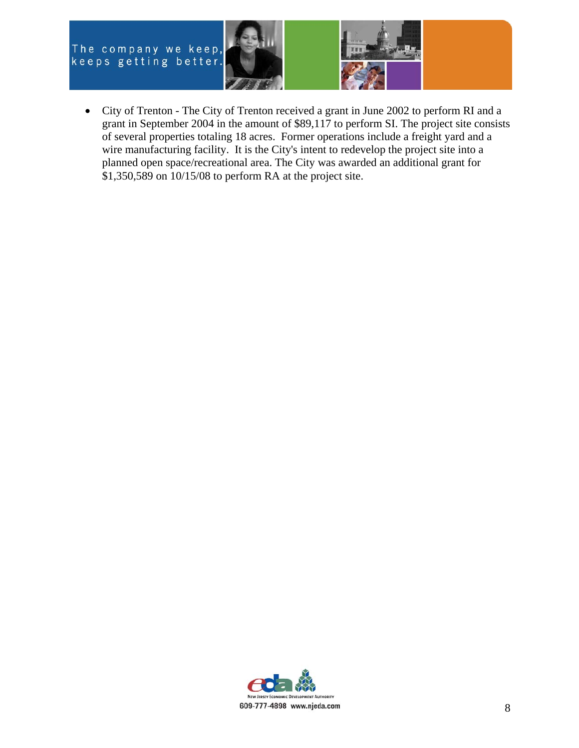

- 
- City of Trenton The City of Trenton received a grant in June 2002 to perform RI and a grant in September 2004 in the amount of \$89,117 to perform SI. The project site consists of several properties totaling 18 acres. Former operations include a freight yard and a wire manufacturing facility. It is the City's intent to redevelop the project site into a planned open space/recreational area. The City was awarded an additional grant for \$1,350,589 on 10/15/08 to perform RA at the project site.

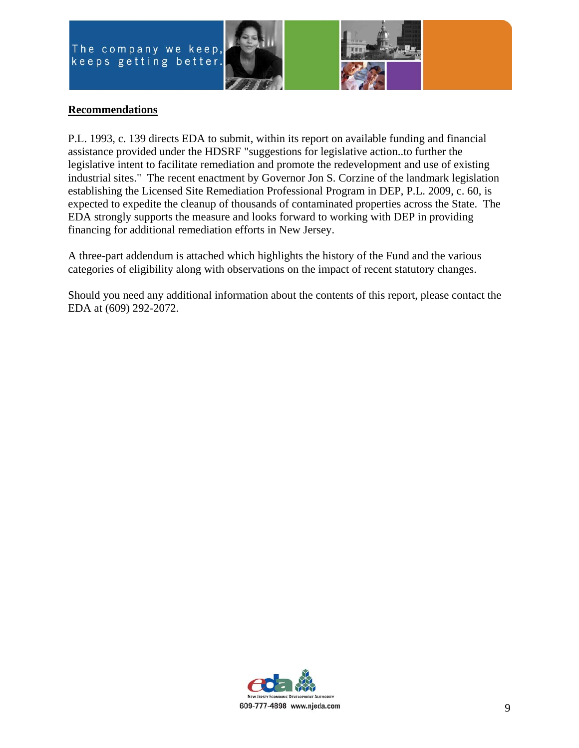



#### **Recommendations**

P.L. 1993, c. 139 directs EDA to submit, within its report on available funding and financial assistance provided under the HDSRF "suggestions for legislative action..to further the legislative intent to facilitate remediation and promote the redevelopment and use of existing industrial sites." The recent enactment by Governor Jon S. Corzine of the landmark legislation establishing the Licensed Site Remediation Professional Program in DEP, P.L. 2009, c. 60, is expected to expedite the cleanup of thousands of contaminated properties across the State. The EDA strongly supports the measure and looks forward to working with DEP in providing financing for additional remediation efforts in New Jersey.

A three-part addendum is attached which highlights the history of the Fund and the various categories of eligibility along with observations on the impact of recent statutory changes.

Should you need any additional information about the contents of this report, please contact the EDA at (609) 292-2072.

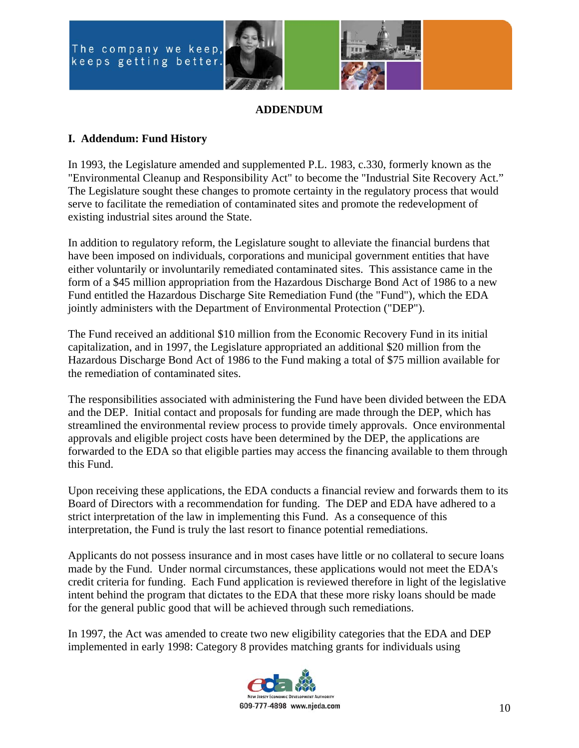



#### **ADDENDUM**

#### **I. Addendum: Fund History**

In 1993, the Legislature amended and supplemented P.L. 1983, c.330, formerly known as the "Environmental Cleanup and Responsibility Act" to become the "Industrial Site Recovery Act." The Legislature sought these changes to promote certainty in the regulatory process that would serve to facilitate the remediation of contaminated sites and promote the redevelopment of existing industrial sites around the State.

In addition to regulatory reform, the Legislature sought to alleviate the financial burdens that have been imposed on individuals, corporations and municipal government entities that have either voluntarily or involuntarily remediated contaminated sites. This assistance came in the form of a \$45 million appropriation from the Hazardous Discharge Bond Act of 1986 to a new Fund entitled the Hazardous Discharge Site Remediation Fund (the "Fund"), which the EDA jointly administers with the Department of Environmental Protection ("DEP").

The Fund received an additional \$10 million from the Economic Recovery Fund in its initial capitalization, and in 1997, the Legislature appropriated an additional \$20 million from the Hazardous Discharge Bond Act of 1986 to the Fund making a total of \$75 million available for the remediation of contaminated sites.

The responsibilities associated with administering the Fund have been divided between the EDA and the DEP. Initial contact and proposals for funding are made through the DEP, which has streamlined the environmental review process to provide timely approvals. Once environmental approvals and eligible project costs have been determined by the DEP, the applications are forwarded to the EDA so that eligible parties may access the financing available to them through this Fund.

Upon receiving these applications, the EDA conducts a financial review and forwards them to its Board of Directors with a recommendation for funding. The DEP and EDA have adhered to a strict interpretation of the law in implementing this Fund. As a consequence of this interpretation, the Fund is truly the last resort to finance potential remediations.

Applicants do not possess insurance and in most cases have little or no collateral to secure loans made by the Fund. Under normal circumstances, these applications would not meet the EDA's credit criteria for funding. Each Fund application is reviewed therefore in light of the legislative intent behind the program that dictates to the EDA that these more risky loans should be made for the general public good that will be achieved through such remediations.

In 1997, the Act was amended to create two new eligibility categories that the EDA and DEP implemented in early 1998: Category 8 provides matching grants for individuals using

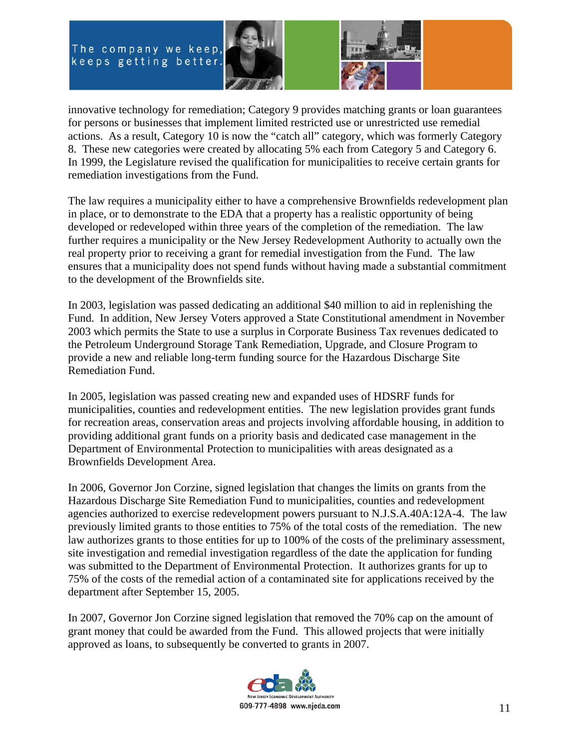



innovative technology for remediation; Category 9 provides matching grants or loan guarantees for persons or businesses that implement limited restricted use or unrestricted use remedial actions. As a result, Category 10 is now the "catch all" category, which was formerly Category 8. These new categories were created by allocating 5% each from Category 5 and Category 6. In 1999, the Legislature revised the qualification for municipalities to receive certain grants for remediation investigations from the Fund.

The law requires a municipality either to have a comprehensive Brownfields redevelopment plan in place, or to demonstrate to the EDA that a property has a realistic opportunity of being developed or redeveloped within three years of the completion of the remediation. The law further requires a municipality or the New Jersey Redevelopment Authority to actually own the real property prior to receiving a grant for remedial investigation from the Fund. The law ensures that a municipality does not spend funds without having made a substantial commitment to the development of the Brownfields site.

In 2003, legislation was passed dedicating an additional \$40 million to aid in replenishing the Fund. In addition, New Jersey Voters approved a State Constitutional amendment in November 2003 which permits the State to use a surplus in Corporate Business Tax revenues dedicated to the Petroleum Underground Storage Tank Remediation, Upgrade, and Closure Program to provide a new and reliable long-term funding source for the Hazardous Discharge Site Remediation Fund.

In 2005, legislation was passed creating new and expanded uses of HDSRF funds for municipalities, counties and redevelopment entities. The new legislation provides grant funds for recreation areas, conservation areas and projects involving affordable housing, in addition to providing additional grant funds on a priority basis and dedicated case management in the Department of Environmental Protection to municipalities with areas designated as a Brownfields Development Area.

In 2006, Governor Jon Corzine, signed legislation that changes the limits on grants from the Hazardous Discharge Site Remediation Fund to municipalities, counties and redevelopment agencies authorized to exercise redevelopment powers pursuant to N.J.S.A.40A:12A-4. The law previously limited grants to those entities to 75% of the total costs of the remediation. The new law authorizes grants to those entities for up to 100% of the costs of the preliminary assessment, site investigation and remedial investigation regardless of the date the application for funding was submitted to the Department of Environmental Protection. It authorizes grants for up to 75% of the costs of the remedial action of a contaminated site for applications received by the department after September 15, 2005.

In 2007, Governor Jon Corzine signed legislation that removed the 70% cap on the amount of grant money that could be awarded from the Fund. This allowed projects that were initially approved as loans, to subsequently be converted to grants in 2007.

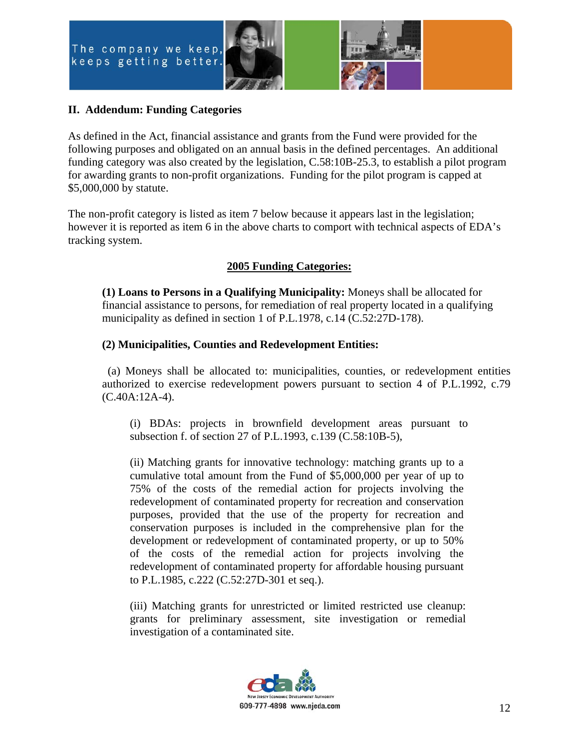



## **II. Addendum: Funding Categories**

As defined in the Act, financial assistance and grants from the Fund were provided for the following purposes and obligated on an annual basis in the defined percentages. An additional funding category was also created by the legislation, C.58:10B-25.3, to establish a pilot program for awarding grants to non-profit organizations. Funding for the pilot program is capped at \$5,000,000 by statute.

The non-profit category is listed as item 7 below because it appears last in the legislation; however it is reported as item 6 in the above charts to comport with technical aspects of EDA's tracking system.

## **2005 Funding Categories:**

**(1) Loans to Persons in a Qualifying Municipality:** Moneys shall be allocated for financial assistance to persons, for remediation of real property located in a qualifying municipality as defined in section 1 of P.L.1978, c.14 (C.52:27D-178).

## **(2) Municipalities, Counties and Redevelopment Entities:**

 (a) Moneys shall be allocated to: municipalities, counties, or redevelopment entities authorized to exercise redevelopment powers pursuant to section 4 of P.L.1992, c.79 (C.40A:12A-4).

(i) BDAs: projects in brownfield development areas pursuant to subsection f. of section 27 of P.L.1993, c.139 (C.58:10B-5),

 (ii) Matching grants for innovative technology: matching grants up to a cumulative total amount from the Fund of \$5,000,000 per year of up to 75% of the costs of the remedial action for projects involving the redevelopment of contaminated property for recreation and conservation purposes, provided that the use of the property for recreation and conservation purposes is included in the comprehensive plan for the development or redevelopment of contaminated property, or up to 50% of the costs of the remedial action for projects involving the redevelopment of contaminated property for affordable housing pursuant to P.L.1985, c.222 (C.52:27D-301 et seq.).

(iii) Matching grants for unrestricted or limited restricted use cleanup: grants for preliminary assessment, site investigation or remedial investigation of a contaminated site.

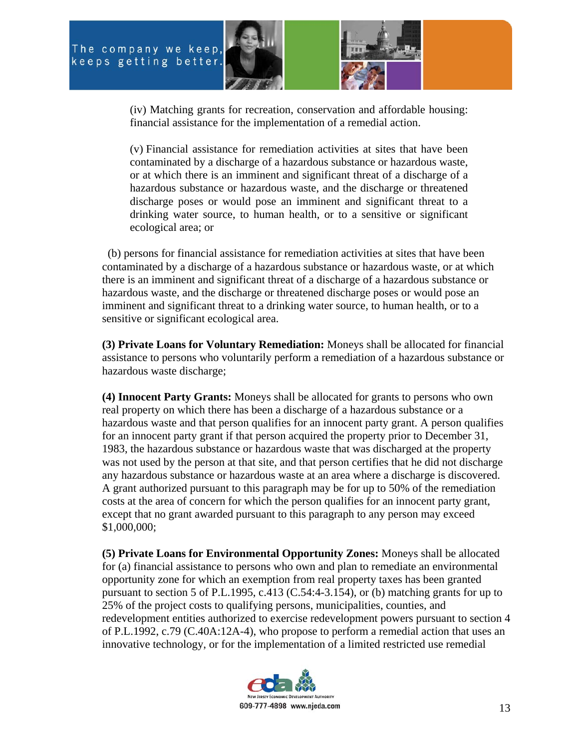



(iv) Matching grants for recreation, conservation and affordable housing: financial assistance for the implementation of a remedial action.

(v) Financial assistance for remediation activities at sites that have been contaminated by a discharge of a hazardous substance or hazardous waste, or at which there is an imminent and significant threat of a discharge of a hazardous substance or hazardous waste, and the discharge or threatened discharge poses or would pose an imminent and significant threat to a drinking water source, to human health, or to a sensitive or significant ecological area; or

 (b) persons for financial assistance for remediation activities at sites that have been contaminated by a discharge of a hazardous substance or hazardous waste, or at which there is an imminent and significant threat of a discharge of a hazardous substance or hazardous waste, and the discharge or threatened discharge poses or would pose an imminent and significant threat to a drinking water source, to human health, or to a sensitive or significant ecological area.

**(3) Private Loans for Voluntary Remediation:** Moneys shall be allocated for financial assistance to persons who voluntarily perform a remediation of a hazardous substance or hazardous waste discharge;

**(4) Innocent Party Grants:** Moneys shall be allocated for grants to persons who own real property on which there has been a discharge of a hazardous substance or a hazardous waste and that person qualifies for an innocent party grant. A person qualifies for an innocent party grant if that person acquired the property prior to December 31, 1983, the hazardous substance or hazardous waste that was discharged at the property was not used by the person at that site, and that person certifies that he did not discharge any hazardous substance or hazardous waste at an area where a discharge is discovered. A grant authorized pursuant to this paragraph may be for up to 50% of the remediation costs at the area of concern for which the person qualifies for an innocent party grant, except that no grant awarded pursuant to this paragraph to any person may exceed \$1,000,000;

**(5) Private Loans for Environmental Opportunity Zones:** Moneys shall be allocated for (a) financial assistance to persons who own and plan to remediate an environmental opportunity zone for which an exemption from real property taxes has been granted pursuant to section 5 of P.L.1995, c.413 (C.54:4-3.154), or (b) matching grants for up to 25% of the project costs to qualifying persons, municipalities, counties, and redevelopment entities authorized to exercise redevelopment powers pursuant to section 4 of P.L.1992, c.79 (C.40A:12A-4), who propose to perform a remedial action that uses an innovative technology, or for the implementation of a limited restricted use remedial

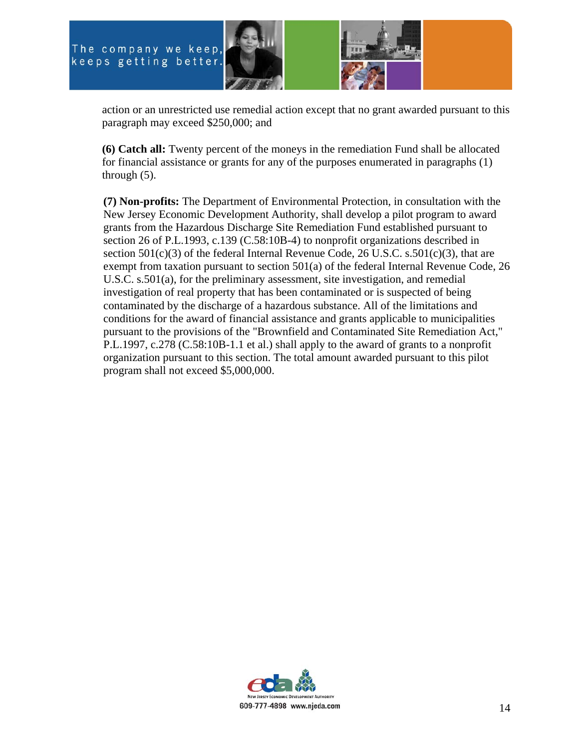



action or an unrestricted use remedial action except that no grant awarded pursuant to this paragraph may exceed \$250,000; and

**(6) Catch all:** Twenty percent of the moneys in the remediation Fund shall be allocated for financial assistance or grants for any of the purposes enumerated in paragraphs (1) through (5).

**(7) Non-profits:** The Department of Environmental Protection, in consultation with the New Jersey Economic Development Authority, shall develop a pilot program to award grants from the Hazardous Discharge Site Remediation Fund established pursuant to section 26 of P.L.1993, c.139 (C.58:10B-4) to nonprofit organizations described in section  $501(c)(3)$  of the federal Internal Revenue Code, 26 U.S.C. s.501(c)(3), that are exempt from taxation pursuant to section 501(a) of the federal Internal Revenue Code, 26 U.S.C. s.501(a), for the preliminary assessment, site investigation, and remedial investigation of real property that has been contaminated or is suspected of being contaminated by the discharge of a hazardous substance. All of the limitations and conditions for the award of financial assistance and grants applicable to municipalities pursuant to the provisions of the "Brownfield and Contaminated Site Remediation Act," P.L.1997, c.278 (C.58:10B-1.1 et al.) shall apply to the award of grants to a nonprofit organization pursuant to this section. The total amount awarded pursuant to this pilot program shall not exceed \$5,000,000.

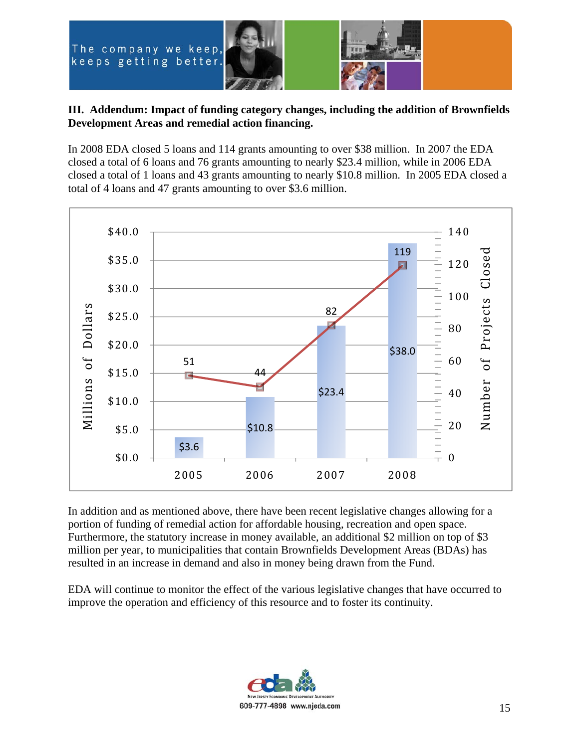



## **III. Addendum: Impact of funding category changes, including the addition of Brownfields Development Areas and remedial action financing.**

In 2008 EDA closed 5 loans and 114 grants amounting to over \$38 million. In 2007 the EDA closed a total of 6 loans and 76 grants amounting to nearly \$23.4 million, while in 2006 EDA closed a total of 1 loans and 43 grants amounting to nearly \$10.8 million. In 2005 EDA closed a total of 4 loans and 47 grants amounting to over \$3.6 million.



In addition and as mentioned above, there have been recent legislative changes allowing for a portion of funding of remedial action for affordable housing, recreation and open space. Furthermore, the statutory increase in money available, an additional \$2 million on top of \$3 million per year, to municipalities that contain Brownfields Development Areas (BDAs) has resulted in an increase in demand and also in money being drawn from the Fund.

EDA will continue to monitor the effect of the various legislative changes that have occurred to improve the operation and efficiency of this resource and to foster its continuity.

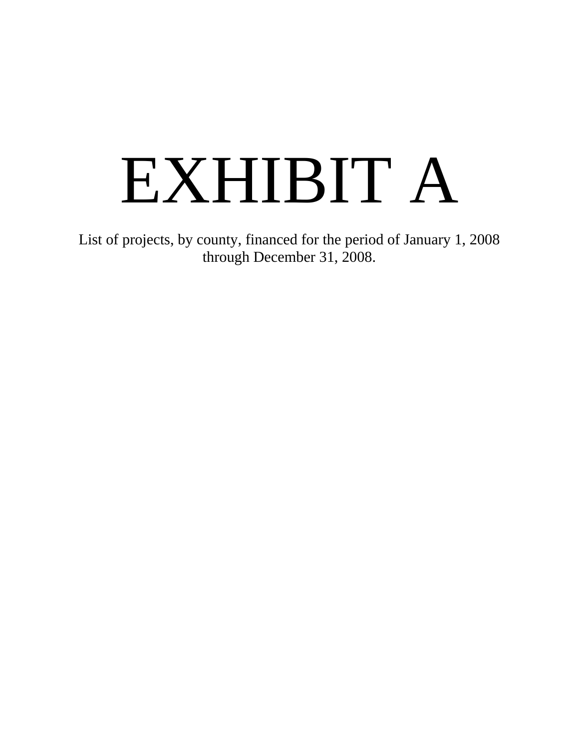# EXHIBIT A

List of projects, by county, financed for the period of January 1, 2008 through December 31, 2008.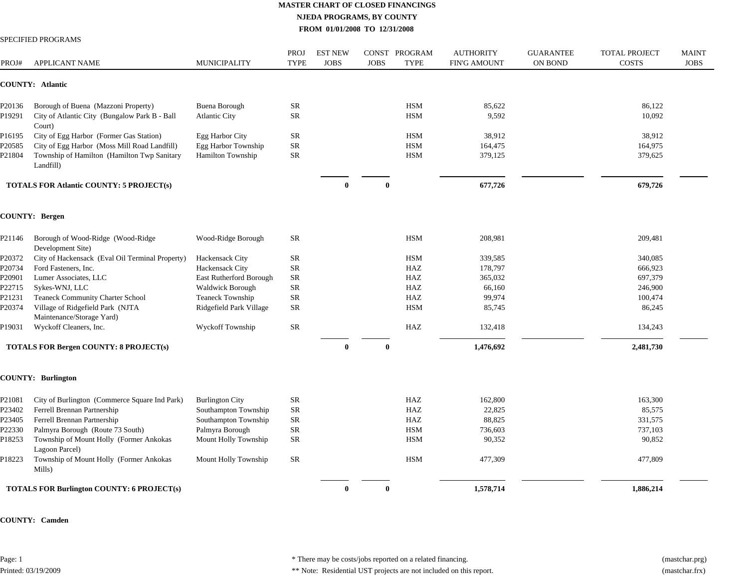| PROJ#  | <b>APPLICANT NAME</b>                                         | <b>MUNICIPALITY</b>      | <b>PROJ</b><br><b>TYPE</b> | <b>EST NEW</b><br><b>JOBS</b> | <b>JOBS</b>  | CONST PROGRAM<br><b>TYPE</b> | <b>AUTHORITY</b><br><b>FIN'G AMOUNT</b> | <b>GUARANTEE</b><br><b>ON BOND</b> | <b>TOTAL PROJECT</b><br><b>COSTS</b> | <b>MAINT</b><br><b>JOBS</b> |
|--------|---------------------------------------------------------------|--------------------------|----------------------------|-------------------------------|--------------|------------------------------|-----------------------------------------|------------------------------------|--------------------------------------|-----------------------------|
|        | COUNTY: Atlantic                                              |                          |                            |                               |              |                              |                                         |                                    |                                      |                             |
| P20136 | Borough of Buena (Mazzoni Property)                           | Buena Borough            | SR.                        |                               |              | <b>HSM</b>                   | 85,622                                  |                                    | 86,122                               |                             |
| ?19291 | City of Atlantic City (Bungalow Park B - Ball<br>Court)       | <b>Atlantic City</b>     | <b>SR</b>                  |                               |              | <b>HSM</b>                   | 9,592                                   |                                    | 10,092                               |                             |
| 216195 | City of Egg Harbor (Former Gas Station)                       | Egg Harbor City          | SR                         |                               |              | <b>HSM</b>                   | 38,912                                  |                                    | 38,912                               |                             |
| 20585  | City of Egg Harbor (Moss Mill Road Landfill)                  | Egg Harbor Township      | SR                         |                               |              | <b>HSM</b>                   | 164,475                                 |                                    | 164,975                              |                             |
| P21804 | Township of Hamilton (Hamilton Twp Sanitary<br>Landfill)      | <b>Hamilton Township</b> | <b>SR</b>                  |                               |              | <b>HSM</b>                   | 379,125                                 |                                    | 379,625                              |                             |
|        | <b>TOTALS FOR Atlantic COUNTY: 5 PROJECT(s)</b>               |                          |                            | $\theta$                      | $\mathbf{0}$ |                              | 677,726                                 |                                    | 679,726                              |                             |
|        | <b>COUNTY: Bergen</b>                                         |                          |                            |                               |              |                              |                                         |                                    |                                      |                             |
| P21146 | Borough of Wood-Ridge (Wood-Ridge<br>Development Site)        | Wood-Ridge Borough       | SR                         |                               |              | <b>HSM</b>                   | 208,981                                 |                                    | 209,481                              |                             |
| P20372 | City of Hackensack (Eval Oil Terminal Property)               | Hackensack City          | <b>SR</b>                  |                               |              | <b>HSM</b>                   | 339,585                                 |                                    | 340,085                              |                             |
| P20734 | Ford Fasteners, Inc.                                          | Hackensack City          | <b>SR</b>                  |                               |              | HAZ                          | 178,797                                 |                                    | 666,923                              |                             |
| P20901 | Lumer Associates, LLC                                         | East Rutherford Borough  | ${\sf SR}$                 |                               |              | HAZ                          | 365,032                                 |                                    | 697,379                              |                             |
| P22715 | Sykes-WNJ, LLC                                                | <b>Waldwick Borough</b>  | SR                         |                               |              | HAZ                          | 66,160                                  |                                    | 246,900                              |                             |
| P21231 | Teaneck Community Charter School                              | <b>Teaneck Township</b>  | <b>SR</b>                  |                               |              | HAZ                          | 99,974                                  |                                    | 100,474                              |                             |
| P20374 | Village of Ridgefield Park (NJTA<br>Maintenance/Storage Yard) | Ridgefield Park Village  | <b>SR</b>                  |                               |              | <b>HSM</b>                   | 85,745                                  |                                    | 86,245                               |                             |
| P19031 | Wyckoff Cleaners, Inc.                                        | Wyckoff Township         | <b>SR</b>                  |                               |              | HAZ                          | 132,418                                 |                                    | 134,243                              |                             |
|        | <b>TOTALS FOR Bergen COUNTY: 8 PROJECT(s)</b>                 |                          |                            | $\bf{0}$                      | $\bf{0}$     |                              | 1,476,692                               |                                    | 2,481,730                            |                             |
|        | <b>COUNTY: Burlington</b>                                     |                          |                            |                               |              |                              |                                         |                                    |                                      |                             |
| P21081 | City of Burlington (Commerce Square Ind Park)                 | <b>Burlington City</b>   | <b>SR</b>                  |                               |              | HAZ                          | 162,800                                 |                                    | 163,300                              |                             |
| P23402 | Ferrell Brennan Partnership                                   | Southampton Township     | <b>SR</b>                  |                               |              | HAZ                          | 22,825                                  |                                    | 85,575                               |                             |
| P23405 | Ferrell Brennan Partnership                                   | Southampton Township     | SR                         |                               |              | HAZ                          | 88,825                                  |                                    | 331,575                              |                             |
| P22330 | Palmyra Borough (Route 73 South)                              | Palmyra Borough          | ${\sf SR}$                 |                               |              | <b>HSM</b>                   | 736,603                                 |                                    | 737,103                              |                             |
| P18253 | Township of Mount Holly (Former Ankokas<br>Lagoon Parcel)     | Mount Holly Township     | <b>SR</b>                  |                               |              | <b>HSM</b>                   | 90,352                                  |                                    | 90,852                               |                             |
| P18223 | Township of Mount Holly (Former Ankokas<br>Mills)             | Mount Holly Township     | <b>SR</b>                  |                               |              | <b>HSM</b>                   | 477,309                                 |                                    | 477,809                              |                             |
|        | <b>TOTALS FOR Burlington COUNTY: 6 PROJECT(s)</b>             |                          |                            | $\theta$                      | $\bf{0}$     |                              | 1,578,714                               |                                    | 1,886,214                            |                             |

#### **COUNTY: Camden**

SPECIFIED PROGRAMS

Page: 1 Printed: 03/19/2009 \* There may be costs/jobs reported on a related financing. (mastchar.prg)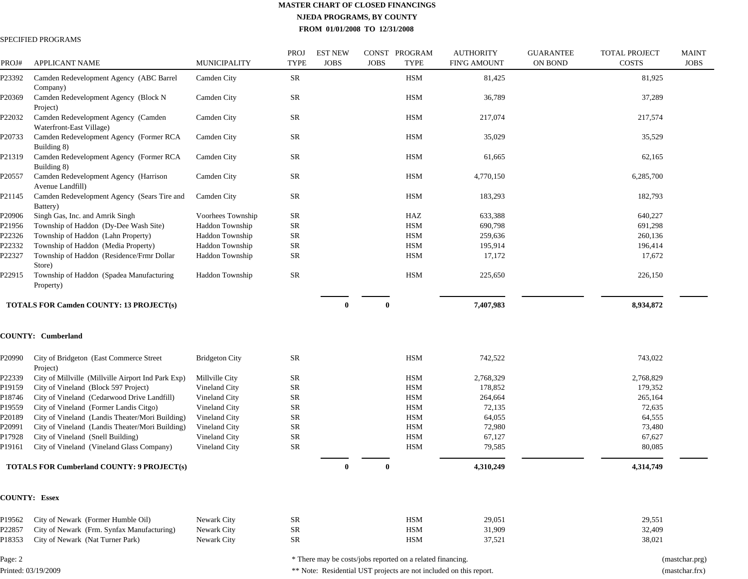#### SPECIFIED PROGRAMS

| PROJ#   | <b>APPLICANT NAME</b>                                           | <b>MUNICIPALITY</b>    | PROJ<br><b>TYPE</b> | <b>EST NEW</b><br><b>JOBS</b> | <b>JOBS</b> | CONST PROGRAM<br><b>TYPE</b>                               | <b>AUTHORITY</b><br><b>FIN'G AMOUNT</b> | <b>GUARANTEE</b><br><b>ON BOND</b> | <b>TOTAL PROJECT</b><br><b>COSTS</b> | <b>MAINT</b><br><b>JOBS</b> |
|---------|-----------------------------------------------------------------|------------------------|---------------------|-------------------------------|-------------|------------------------------------------------------------|-----------------------------------------|------------------------------------|--------------------------------------|-----------------------------|
| P23392  | Camden Redevelopment Agency (ABC Barrel<br>Company)             | Camden City            | SR                  |                               |             | <b>HSM</b>                                                 | 81,425                                  |                                    | 81,925                               |                             |
| P20369  | Camden Redevelopment Agency (Block N<br>Project)                | Camden City            | SR                  |                               |             | <b>HSM</b>                                                 | 36,789                                  |                                    | 37,289                               |                             |
| P22032  | Camden Redevelopment Agency (Camden<br>Waterfront-East Village) | Camden City            | SR                  |                               |             | <b>HSM</b>                                                 | 217,074                                 |                                    | 217,574                              |                             |
| P20733  | Camden Redevelopment Agency (Former RCA<br>Building 8)          | Camden City            | SR                  |                               |             | <b>HSM</b>                                                 | 35,029                                  |                                    | 35,529                               |                             |
| P21319  | Camden Redevelopment Agency (Former RCA<br>Building 8)          | Camden City            | SR                  |                               |             | <b>HSM</b>                                                 | 61,665                                  |                                    | 62,165                               |                             |
| P20557  | Camden Redevelopment Agency (Harrison<br>Avenue Landfill)       | Camden City            | SR                  |                               |             | <b>HSM</b>                                                 | 4,770,150                               |                                    | 6,285,700                            |                             |
| P21145  | Camden Redevelopment Agency (Sears Tire and<br>Battery)         | Camden City            | SR                  |                               |             | <b>HSM</b>                                                 | 183,293                                 |                                    | 182,793                              |                             |
| P20906  | Singh Gas, Inc. and Amrik Singh                                 | Voorhees Township      | SR                  |                               |             | HAZ                                                        | 633,388                                 |                                    | 640,227                              |                             |
| P21956  | Township of Haddon (Dy-Dee Wash Site)                           | Haddon Township        | <b>SR</b>           |                               |             | <b>HSM</b>                                                 | 690,798                                 |                                    | 691,298                              |                             |
| P22326  | Township of Haddon (Lahn Property)                              | Haddon Township        | SR                  |                               |             | <b>HSM</b>                                                 | 259,636                                 |                                    | 260,136                              |                             |
| P22332  | Township of Haddon (Media Property)                             | Haddon Township        | <b>SR</b>           |                               |             | <b>HSM</b>                                                 | 195,914                                 |                                    | 196,414                              |                             |
| P22327  | Township of Haddon (Residence/Frmr Dollar<br>Store)             | Haddon Township        | SR                  |                               |             | <b>HSM</b>                                                 | 17,172                                  |                                    | 17,672                               |                             |
| P22915  | Township of Haddon (Spadea Manufacturing<br>Property)           | <b>Haddon Township</b> | SR                  |                               |             | <b>HSM</b>                                                 | 225,650                                 |                                    | 226,150                              |                             |
|         | <b>TOTALS FOR Camden COUNTY: 13 PROJECT(s)</b>                  |                        |                     | $\mathbf{0}$                  | 0           |                                                            | 7,407,983                               |                                    | 8,934,872                            |                             |
|         | COUNTY: Cumberland                                              |                        |                     |                               |             |                                                            |                                         |                                    |                                      |                             |
| P20990  | City of Bridgeton (East Commerce Street<br>Project)             | <b>Bridgeton City</b>  | SR                  |                               |             | <b>HSM</b>                                                 | 742,522                                 |                                    | 743,022                              |                             |
| P22339  | City of Millville (Millville Airport Ind Park Exp)              | Millville City         | SR                  |                               |             | HSM                                                        | 2,768,329                               |                                    | 2,768,829                            |                             |
| P19159  | City of Vineland (Block 597 Project)                            | Vineland City          | <b>SR</b>           |                               |             | <b>HSM</b>                                                 | 178,852                                 |                                    | 179,352                              |                             |
| P18746  | City of Vineland (Cedarwood Drive Landfill)                     | Vineland City          | <b>SR</b>           |                               |             | <b>HSM</b>                                                 | 264,664                                 |                                    | 265,164                              |                             |
| P19559  | City of Vineland (Former Landis Citgo)                          | Vineland City          | <b>SR</b>           |                               |             | HSM                                                        | 72,135                                  |                                    | 72,635                               |                             |
| P20189  | City of Vineland (Landis Theater/Mori Building)                 | Vineland City          | SR                  |                               |             | HSM                                                        | 64,055                                  |                                    | 64,555                               |                             |
| P20991  | City of Vineland (Landis Theater/Mori Building)                 | Vineland City          | SR                  |                               |             | <b>HSM</b>                                                 | 72,980                                  |                                    | 73,480                               |                             |
| P17928  | City of Vineland (Snell Building)                               | Vineland City          | SR.                 |                               |             | HSM                                                        | 67,127                                  |                                    | 67,627                               |                             |
| P19161  | City of Vineland (Vineland Glass Company)                       | Vineland City          | SR                  |                               |             | HSM                                                        | 79,585                                  |                                    | 80,085                               |                             |
|         | <b>TOTALS FOR Cumberland COUNTY: 9 PROJECT(s)</b>               |                        |                     | $\bf{0}$                      | $\bf{0}$    |                                                            | 4,310,249                               |                                    | 4,314,749                            |                             |
|         | <b>COUNTY: Essex</b>                                            |                        |                     |                               |             |                                                            |                                         |                                    |                                      |                             |
| P19562  | City of Newark (Former Humble Oil)                              | Newark City            | SR.                 |                               |             | <b>HSM</b>                                                 | 29,051                                  |                                    | 29,551                               |                             |
| P22857  | City of Newark (Frm. Synfax Manufacturing)                      | Newark City            | <b>SR</b>           |                               |             | <b>HSM</b>                                                 | 31,909                                  |                                    | 32,409                               |                             |
| P18353  | City of Newark (Nat Turner Park)                                | Newark City            | <b>SR</b>           |                               |             | <b>HSM</b>                                                 | 37,521                                  |                                    | 38,021                               |                             |
| Page: 2 |                                                                 |                        |                     |                               |             | * There may be costs/jobs reported on a related financing. |                                         |                                    |                                      | (mastchar.prg)              |

Printed: 03/19/2009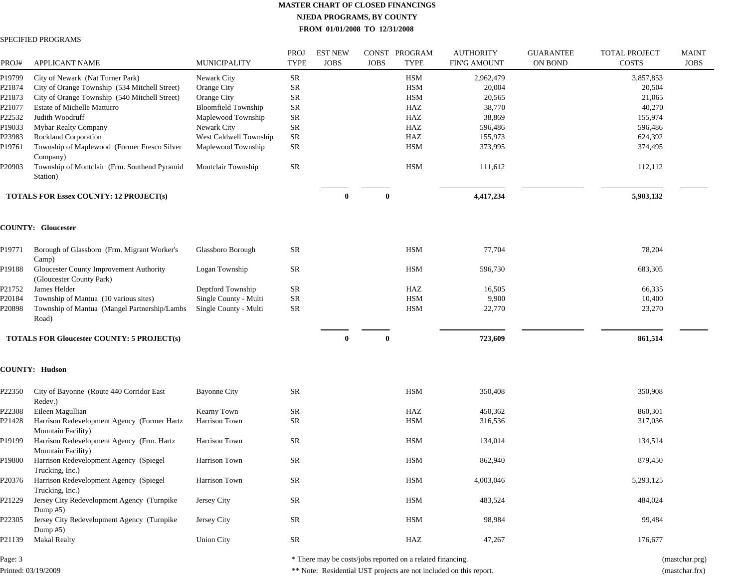#### SPECIFIED PROGRAMS

| PROJ#   | <b>APPLICANT NAME</b>                                               | <b>MUNICIPALITY</b>        | PROJ<br><b>TYPE</b> | <b>EST NEW</b><br><b>JOBS</b> | <b>JOBS</b>  | CONST PROGRAM<br><b>TYPE</b>                               | <b>AUTHORITY</b><br><b>FIN'G AMOUNT</b> | <b>GUARANTEE</b><br>ON BOND | <b>TOTAL PROJECT</b><br><b>COSTS</b> | <b>MAINT</b><br><b>JOBS</b> |
|---------|---------------------------------------------------------------------|----------------------------|---------------------|-------------------------------|--------------|------------------------------------------------------------|-----------------------------------------|-----------------------------|--------------------------------------|-----------------------------|
| P19799  | City of Newark (Nat Turner Park)                                    | Newark City                | <b>SR</b>           |                               |              | <b>HSM</b>                                                 | 2,962,479                               |                             | 3,857,853                            |                             |
| P21874  | City of Orange Township (534 Mitchell Street)                       | Orange City                | <b>SR</b>           |                               |              | HSM                                                        | 20,004                                  |                             | 20,504                               |                             |
| P21873  | City of Orange Township (540 Mitchell Street)                       | Orange City                | <b>SR</b>           |                               |              | <b>HSM</b>                                                 | 20,565                                  |                             | 21,065                               |                             |
| P21077  | Estate of Michelle Matturro                                         | <b>Bloomfield Township</b> | <b>SR</b>           |                               |              | HAZ                                                        | 38,770                                  |                             | 40,270                               |                             |
| P22532  | Judith Woodruff                                                     | Maplewood Township         | ${\rm SR}$          |                               |              | HAZ                                                        | 38,869                                  |                             | 155,974                              |                             |
| P19033  | Mybar Realty Company                                                | Newark City                | ${\rm SR}$          |                               |              | HAZ                                                        | 596,486                                 |                             | 596,486                              |                             |
| P23983  | Rockland Corporation                                                | West Caldwell Township     | ${\sf SR}$          |                               |              | HAZ                                                        | 155,973                                 |                             | 624,392                              |                             |
| P19761  | Township of Maplewood (Former Fresco Silver<br>Company)             | Maplewood Township         | ${\rm SR}$          |                               |              | <b>HSM</b>                                                 | 373,995                                 |                             | 374,495                              |                             |
| P20903  | Township of Montclair (Frm. Southend Pyramid<br>Station)            | <b>Montclair Township</b>  | <b>SR</b>           |                               |              | <b>HSM</b>                                                 | 111,612                                 |                             | 112,112                              |                             |
|         | TOTALS FOR Essex COUNTY: 12 PROJECT(s)                              |                            |                     | $\mathbf{0}$                  | 0            |                                                            | 4,417,234                               |                             | 5,903,132                            |                             |
|         | <b>COUNTY: Gloucester</b>                                           |                            |                     |                               |              |                                                            |                                         |                             |                                      |                             |
| P19771  | Borough of Glassboro (Frm. Migrant Worker's<br>Camp)                | Glassboro Borough          | SR                  |                               |              | <b>HSM</b>                                                 | 77,704                                  |                             | 78,204                               |                             |
| P19188  | Gloucester County Improvement Authority<br>(Gloucester County Park) | Logan Township             | <b>SR</b>           |                               |              | <b>HSM</b>                                                 | 596,730                                 |                             | 683,305                              |                             |
| P21752  | James Helder                                                        | Deptford Township          | <b>SR</b>           |                               |              | HAZ                                                        | 16,505                                  |                             | 66,335                               |                             |
| P20184  | Township of Mantua (10 various sites)                               | Single County - Multi      | ${\rm SR}$          |                               |              | <b>HSM</b>                                                 | 9,900                                   |                             | 10,400                               |                             |
| P20898  | Township of Mantua (Mangel Partnership/Lambs<br>Road)               | Single County - Multi      | <b>SR</b>           |                               |              | HSM                                                        | 22,770                                  |                             | 23,270                               |                             |
|         | <b>TOTALS FOR Gloucester COUNTY: 5 PROJECT(s)</b>                   |                            |                     | $\mathbf{0}$                  | $\mathbf{0}$ |                                                            | 723,609                                 |                             | 861,514                              |                             |
|         | <b>COUNTY: Hudson</b>                                               |                            |                     |                               |              |                                                            |                                         |                             |                                      |                             |
| P22350  | City of Bayonne (Route 440 Corridor East<br>Redev.)                 | <b>Bayonne City</b>        | <b>SR</b>           |                               |              | <b>HSM</b>                                                 | 350,408                                 |                             | 350,908                              |                             |
| P22308  | Eileen Magullian                                                    | Kearny Town                | SR                  |                               |              | HAZ                                                        | 450,362                                 |                             | 860,301                              |                             |
| P21428  | Harrison Redevelopment Agency (Former Hartz<br>Mountain Facility)   | Harrison Town              | <b>SR</b>           |                               |              | <b>HSM</b>                                                 | 316,536                                 |                             | 317,036                              |                             |
| P19199  | Harrison Redevelopment Agency (Frm. Hartz<br>Mountain Facility)     | Harrison Town              | SR                  |                               |              | <b>HSM</b>                                                 | 134,014                                 |                             | 134,514                              |                             |
| P19800  | Harrison Redevelopment Agency (Spiegel<br>Trucking, Inc.)           | Harrison Town              | <b>SR</b>           |                               |              | <b>HSM</b>                                                 | 862,940                                 |                             | 879,450                              |                             |
| P20376  | Harrison Redevelopment Agency (Spiegel<br>Trucking, Inc.)           | Harrison Town              | SR                  |                               |              | <b>HSM</b>                                                 | 4,003,046                               |                             | 5,293,125                            |                             |
| P21229  | Jersey City Redevelopment Agency (Turnpike<br>Dump #5)              | Jersey City                | <b>SR</b>           |                               |              | <b>HSM</b>                                                 | 483,524                                 |                             | 484,024                              |                             |
| P22305  | Jersey City Redevelopment Agency (Turnpike<br>Dump #5)              | Jersey City                | SR                  |                               |              | <b>HSM</b>                                                 | 98,984                                  |                             | 99,484                               |                             |
| P21139  | <b>Makal Realty</b>                                                 | <b>Union City</b>          | <b>SR</b>           |                               |              | HAZ                                                        | 47,267                                  |                             | 176,677                              |                             |
| Page: 3 |                                                                     |                            |                     |                               |              | * There may be costs/jobs reported on a related financing. |                                         |                             |                                      | (mastchar.prg)              |
|         |                                                                     |                            |                     |                               |              |                                                            |                                         |                             |                                      |                             |

Printed: 03/19/2009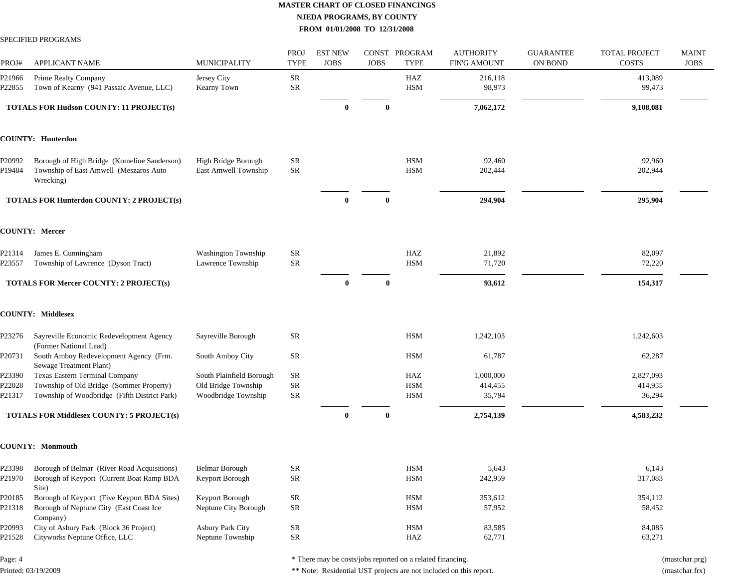#### SPECIFIED PROGRAMS

| PROJ#            | <b>APPLICANT NAME</b>                                                                              | <b>MUNICIPALITY</b>                         | PROJ<br><b>TYPE</b> | <b>EST NEW</b><br><b>JOBS</b> | <b>JOBS</b>  | CONST PROGRAM<br><b>TYPE</b> | <b>AUTHORITY</b><br><b>FIN'G AMOUNT</b> | <b>GUARANTEE</b><br>ON BOND | <b>TOTAL PROJECT</b><br><b>COSTS</b> | <b>MAINT</b><br><b>JOBS</b> |
|------------------|----------------------------------------------------------------------------------------------------|---------------------------------------------|---------------------|-------------------------------|--------------|------------------------------|-----------------------------------------|-----------------------------|--------------------------------------|-----------------------------|
| P21966<br>P22855 | Prime Realty Company<br>Town of Kearny (941 Passaic Avenue, LLC)                                   | Jersey City<br>Kearny Town                  | SR<br>SR            |                               |              | HAZ<br><b>HSM</b>            | 216,118<br>98,973                       |                             | 413,089<br>99,473                    |                             |
|                  | <b>TOTALS FOR Hudson COUNTY: 11 PROJECT(s)</b>                                                     |                                             |                     | $\bf{0}$                      | $\bf{0}$     |                              | 7,062,172                               |                             | 9,108,081                            |                             |
|                  | <b>COUNTY: Hunterdon</b>                                                                           |                                             |                     |                               |              |                              |                                         |                             |                                      |                             |
| P20992<br>P19484 | Borough of High Bridge (Komeline Sanderson)<br>Township of East Amwell (Meszaros Auto<br>Wrecking) | High Bridge Borough<br>East Amwell Township | SR<br><b>SR</b>     |                               |              | <b>HSM</b><br><b>HSM</b>     | 92,460<br>202,444                       |                             | 92,960<br>202,944                    |                             |
|                  | <b>TOTALS FOR Hunterdon COUNTY: 2 PROJECT(s)</b>                                                   |                                             |                     | $\mathbf 0$                   | $\bf{0}$     |                              | 294,904                                 |                             | 295,904                              |                             |
|                  | <b>COUNTY: Mercer</b>                                                                              |                                             |                     |                               |              |                              |                                         |                             |                                      |                             |
| P21314<br>P23557 | James E. Cunningham<br>Township of Lawrence (Dyson Tract)                                          | Washington Township<br>Lawrence Township    | SR<br>SR            |                               |              | HAZ<br><b>HSM</b>            | 21,892<br>71,720                        |                             | 82,097<br>72,220                     |                             |
|                  | TOTALS FOR Mercer COUNTY: 2 PROJECT(s)                                                             |                                             |                     | $\mathbf{0}$                  | $\mathbf{0}$ |                              | 93,612                                  |                             | 154,317                              |                             |
|                  | <b>COUNTY: Middlesex</b>                                                                           |                                             |                     |                               |              |                              |                                         |                             |                                      |                             |
| P23276           | Sayreville Economic Redevelopment Agency<br>(Former National Lead)                                 | Sayreville Borough                          | SR                  |                               |              | <b>HSM</b>                   | 1,242,103                               |                             | 1,242,603                            |                             |
| P20731           | South Amboy Redevelopment Agency (Frm.<br>Sewage Treatment Plant)                                  | South Amboy City                            | SR                  |                               |              | HSM                          | 61,787                                  |                             | 62,287                               |                             |
| P23390           | Texas Eastern Terminal Company                                                                     | South Plainfield Borough                    | SR                  |                               |              | HAZ                          | 1,000,000                               |                             | 2,827,093                            |                             |
| P22028           | Township of Old Bridge (Sommer Property)                                                           | Old Bridge Township                         | SR                  |                               |              | <b>HSM</b>                   | 414,455                                 |                             | 414,955                              |                             |
| P21317           | Township of Woodbridge (Fifth District Park)                                                       | Woodbridge Township                         | <b>SR</b>           |                               |              | <b>HSM</b>                   | 35,794                                  |                             | 36,294                               |                             |
|                  | <b>TOTALS FOR Middlesex COUNTY: 5 PROJECT(s)</b>                                                   |                                             |                     | $\mathbf{0}$                  | $\bf{0}$     |                              | 2,754,139                               |                             | 4,583,232                            |                             |
|                  | <b>COUNTY: Monmouth</b>                                                                            |                                             |                     |                               |              |                              |                                         |                             |                                      |                             |
| P23398           | Borough of Belmar (River Road Acquisitions)                                                        | <b>Belmar Borough</b>                       | SR                  |                               |              | <b>HSM</b>                   | 5,643                                   |                             | 6,143                                |                             |
| P21970           | Borough of Keyport (Current Boat Ramp BDA<br>Site)                                                 | Keyport Borough                             | <b>SR</b>           |                               |              | <b>HSM</b>                   | 242,959                                 |                             | 317,083                              |                             |
| P20185<br>P21318 | Borough of Keyport (Five Keyport BDA Sites)<br>Borough of Neptune City (East Coast Ice<br>Company) | Keyport Borough<br>Neptune City Borough     | SR<br>SR            |                               |              | HSM<br><b>HSM</b>            | 353,612<br>57,952                       |                             | 354,112<br>58,452                    |                             |
| P20993           | City of Asbury Park (Block 36 Project)                                                             | Asbury Park City                            | SR                  |                               |              | <b>HSM</b>                   | 83,585                                  |                             | 84,085                               |                             |
| P21528           | Cityworks Neptune Office, LLC                                                                      | Neptune Township                            | <b>SR</b>           |                               |              | HAZ                          | 62,771                                  |                             | 63,271                               |                             |
|                  |                                                                                                    |                                             |                     |                               |              |                              |                                         |                             |                                      |                             |

Page: 4

Printed: 03/19/2009

\* There may be costs/jobs reported on a related financing. (mastchar.prg)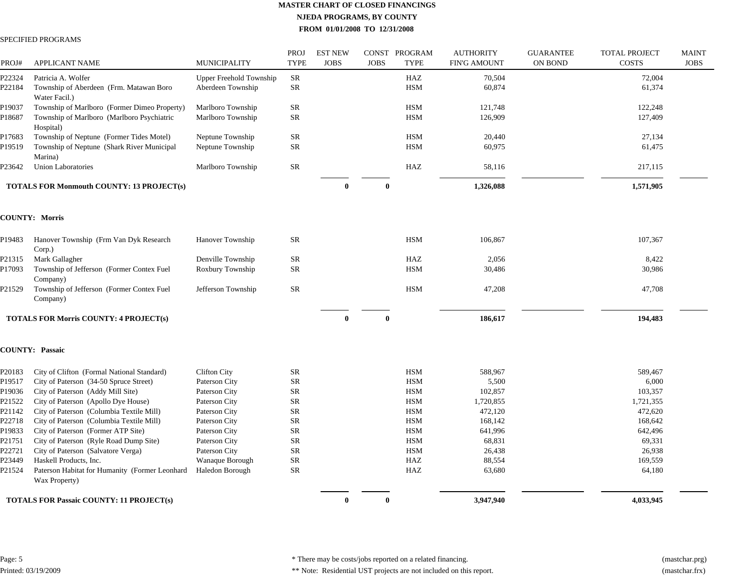#### SPECIFIED PROGRAMS

| PROJ#  | <b>APPLICANT NAME</b>                                           | <b>MUNICIPALITY</b>     | PROJ<br><b>TYPE</b> | <b>EST NEW</b><br><b>JOBS</b> | <b>JOBS</b>  | CONST PROGRAM<br><b>TYPE</b> | <b>AUTHORITY</b><br><b>FIN'G AMOUNT</b> | <b>GUARANTEE</b><br>ON BOND | <b>TOTAL PROJECT</b><br><b>COSTS</b> | <b>MAINT</b><br><b>JOBS</b> |
|--------|-----------------------------------------------------------------|-------------------------|---------------------|-------------------------------|--------------|------------------------------|-----------------------------------------|-----------------------------|--------------------------------------|-----------------------------|
| P22324 | Patricia A. Wolfer                                              | Upper Freehold Township | ${\sf SR}$          |                               |              | HAZ                          | 70,504                                  |                             | 72,004                               |                             |
| P22184 | Township of Aberdeen (Frm. Matawan Boro<br>Water Facil.)        | Aberdeen Township       | SR                  |                               |              | <b>HSM</b>                   | 60,874                                  |                             | 61,374                               |                             |
| P19037 | Township of Marlboro (Former Dimeo Property)                    | Marlboro Township       | SR                  |                               |              | <b>HSM</b>                   | 121,748                                 |                             | 122,248                              |                             |
| P18687 | Township of Marlboro (Marlboro Psychiatric<br>Hospital)         | Marlboro Township       | SR                  |                               |              | <b>HSM</b>                   | 126,909                                 |                             | 127,409                              |                             |
| P17683 | Township of Neptune (Former Tides Motel)                        | Neptune Township        | <b>SR</b>           |                               |              | <b>HSM</b>                   | 20,440                                  |                             | 27,134                               |                             |
| P19519 | Township of Neptune (Shark River Municipal<br>Marina)           | Neptune Township        | <b>SR</b>           |                               |              | <b>HSM</b>                   | 60,975                                  |                             | 61,475                               |                             |
| P23642 | <b>Union Laboratories</b>                                       | Marlboro Township       | SR                  |                               |              | HAZ                          | 58,116                                  |                             | 217,115                              |                             |
|        | <b>TOTALS FOR Monmouth COUNTY: 13 PROJECT(s)</b>                |                         |                     | $\theta$                      | $\bf{0}$     |                              | 1,326,088                               |                             | 1,571,905                            |                             |
|        | <b>COUNTY: Morris</b>                                           |                         |                     |                               |              |                              |                                         |                             |                                      |                             |
| P19483 | Hanover Township (Frm Van Dyk Research<br>Corp.)                | Hanover Township        | SR                  |                               |              | <b>HSM</b>                   | 106,867                                 |                             | 107,367                              |                             |
| P21315 | Mark Gallagher                                                  | Denville Township       | <b>SR</b>           |                               |              | HAZ                          | 2,056                                   |                             | 8,422                                |                             |
| P17093 | Township of Jefferson (Former Contex Fuel<br>Company)           | Roxbury Township        | SR                  |                               |              | <b>HSM</b>                   | 30,486                                  |                             | 30,986                               |                             |
| P21529 | Township of Jefferson (Former Contex Fuel<br>Company)           | Jefferson Township      | <b>SR</b>           |                               |              | <b>HSM</b>                   | 47,208                                  |                             | 47,708                               |                             |
|        | <b>TOTALS FOR Morris COUNTY: 4 PROJECT(s)</b>                   |                         |                     | $\theta$                      | $\mathbf{0}$ |                              | 186,617                                 |                             | 194,483                              |                             |
|        | <b>COUNTY: Passaic</b>                                          |                         |                     |                               |              |                              |                                         |                             |                                      |                             |
| P20183 | City of Clifton (Formal National Standard)                      | Clifton City            | SR                  |                               |              | <b>HSM</b>                   | 588,967                                 |                             | 589,467                              |                             |
| P19517 | City of Paterson (34-50 Spruce Street)                          | Paterson City           | <b>SR</b>           |                               |              | <b>HSM</b>                   | 5,500                                   |                             | 6,000                                |                             |
| P19036 | City of Paterson (Addy Mill Site)                               | Paterson City           | SR                  |                               |              | <b>HSM</b>                   | 102,857                                 |                             | 103,357                              |                             |
| P21522 | City of Paterson (Apollo Dye House)                             | Paterson City           | ${\rm SR}$          |                               |              | <b>HSM</b>                   | 1,720,855                               |                             | 1,721,355                            |                             |
| P21142 | City of Paterson (Columbia Textile Mill)                        | Paterson City           | <b>SR</b>           |                               |              | <b>HSM</b>                   | 472,120                                 |                             | 472,620                              |                             |
| P22718 | City of Paterson (Columbia Textile Mill)                        | Paterson City           | ${\rm SR}$          |                               |              | <b>HSM</b>                   | 168,142                                 |                             | 168,642                              |                             |
| P19833 | City of Paterson (Former ATP Site)                              | Paterson City           | SR                  |                               |              | <b>HSM</b>                   | 641,996                                 |                             | 642,496                              |                             |
| P21751 | City of Paterson (Ryle Road Dump Site)                          | Paterson City           | <b>SR</b>           |                               |              | <b>HSM</b>                   | 68,831                                  |                             | 69,331                               |                             |
| P22721 | City of Paterson (Salvatore Verga)                              | Paterson City           | ${\sf SR}$          |                               |              | <b>HSM</b>                   | 26,438                                  |                             | 26,938                               |                             |
| P23449 | Haskell Products, Inc.                                          | Wanaque Borough         | SR                  |                               |              | HAZ                          | 88,554                                  |                             | 169,559                              |                             |
| P21524 | Paterson Habitat for Humanity (Former Leonhard<br>Wax Property) | Haledon Borough         | SR                  |                               |              | HAZ                          | 63,680                                  |                             | 64,180                               |                             |
|        | <b>TOTALS FOR Passaic COUNTY: 11 PROJECT(s)</b>                 |                         |                     | $\bf{0}$                      | $\bf{0}$     |                              | 3,947,940                               |                             | 4,033,945                            |                             |

\* There may be costs/jobs reported on a related financing. (mastchar.prg)